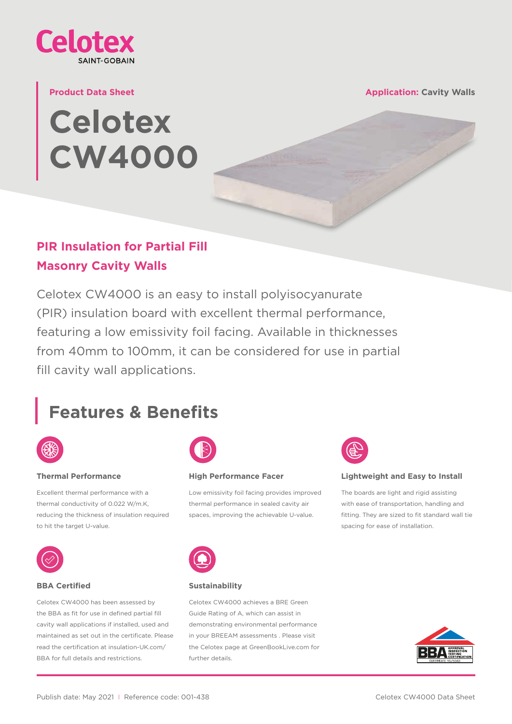

#### **Product Data Sheet**

# **Celotex CW4000**

**Application: Cavity Walls**

### **PIR Insulation for Partial Fill Masonry Cavity Walls**

Celotex CW4000 is an easy to install polyisocyanurate (PIR) insulation board with excellent thermal performance, featuring a low emissivity foil facing. Available in thicknesses from 40mm to 100mm, it can be considered for use in partial fill cavity wall applications.

# **Features & Benefits**



#### **Thermal Performance**

Excellent thermal performance with a thermal conductivity of 0.022 W/m.K, reducing the thickness of insulation required to hit the target U-value.



#### **BBA Certified**

Celotex CW4000 has been assessed by the BBA as fit for use in defined partial fill cavity wall applications if installed, used and [maintained as set out in the certificate. Please](https://insulation-uk.com/technical-services/resources/bba-certificates)  read the certification at insulation-UK.com/ BBA for full details and restrictions.



#### **High Performance Facer**

Low emissivity foil facing provides improved thermal performance in sealed cavity air spaces, improving the achievable U-value.



#### **Lightweight and Easy to Install**

The boards are light and rigid assisting with ease of transportation, handling and fitting. They are sized to fit standard wall tie spacing for ease of installation.



#### **Sustainability**

Celotex CW4000 achieves a BRE Green Guide Rating of A, which can assist in demonstrating environmental performance in your BREEAM assessments . Please visit [the Celotex page at GreenBookLive.com for](https://www.greenbooklive.com)  further details.

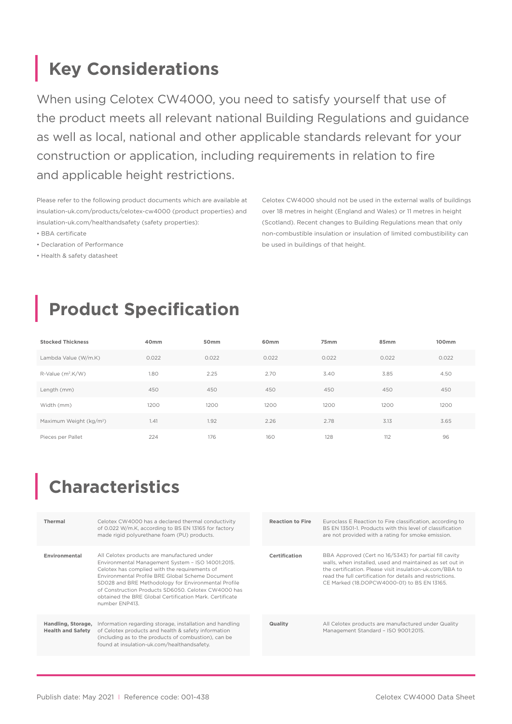# **Key Considerations**

When using Celotex CW4000, you need to satisfy yourself that use of the product meets all relevant national Building Regulations and guidance as well as local, national and other applicable standards relevant for your construction or application, including requirements in relation to fire and applicable height restrictions.

Please refer to the following product documents which are available at [insulation-uk.com/products/celotex-cw4000](http://insulation-uk.com/products/celotex-cw4000) (product properties) and [insulation-uk.com/healthandsafety](http://insulation-uk.com/healthandsafety) (safety properties):

- BBA certificate
- Declaration of Performance
- Health & safety datasheet

Celotex CW4000 should not be used in the external walls of buildings over 18 metres in height (England and Wales) or 11 metres in height (Scotland). Recent changes to Building Regulations mean that only non-combustible insulation or insulation of limited combustibility can be used in buildings of that height.

# **Product Specification**

| <b>Stocked Thickness</b>            | 40 <sub>mm</sub> | 50 <sub>mm</sub> | 60 <sub>mm</sub> | 75 <sub>mm</sub> | 85mm  | 100mm |
|-------------------------------------|------------------|------------------|------------------|------------------|-------|-------|
| Lambda Value (W/m.K)                | 0.022            | 0.022            | 0.022            | 0.022            | 0.022 | 0.022 |
| R-Value (m <sup>2</sup> .K/W)       | 1.80             | 2.25             | 2.70             | 3.40             | 3.85  | 4.50  |
| Length (mm)                         | 450              | 450              | 450              | 450              | 450   | 450   |
| Width (mm)                          | 1200             | 1200             | 1200             | 1200             | 1200  | 1200  |
| Maximum Weight (kg/m <sup>2</sup> ) | 1.41             | 1.92             | 2.26             | 2.78             | 3.13  | 3.65  |
| Pieces per Pallet                   | 224              | 176              | 160              | 128              | 112   | 96    |

## **Characteristics**

| Thermal                                        | Celotex CW4000 has a declared thermal conductivity<br>of 0.022 W/m.K, according to BS EN 13165 for factory<br>made rigid polyurethane foam (PU) products.                                                                                                                                                                                                                                        |  | <b>Reaction to Fire</b> | Euroclass E Reaction to Fire classification, according to<br>BS EN 13501-1. Products with this level of classification<br>are not provided with a rating for smoke emission.                                                                                                               |
|------------------------------------------------|--------------------------------------------------------------------------------------------------------------------------------------------------------------------------------------------------------------------------------------------------------------------------------------------------------------------------------------------------------------------------------------------------|--|-------------------------|--------------------------------------------------------------------------------------------------------------------------------------------------------------------------------------------------------------------------------------------------------------------------------------------|
| Environmental                                  | All Celotex products are manufactured under<br>Environmental Management System - ISO 14001:2015.<br>Celotex has complied with the requirements of<br>Environmental Profile BRE Global Scheme Document<br>SD028 and BRE Methodology for Environmental Profile<br>of Construction Products SD6050, Celotex CW4000 has<br>obtained the BRE Global Certification Mark. Certificate<br>number ENP413. |  |                         | BBA Approved (Cert no 16/5343) for partial fill cavity<br>walls, when installed, used and maintained as set out in<br>the certification. Please visit insulation-uk.com/BBA to<br>read the full certification for details and restrictions.<br>CE Marked (18.DOPCW4000-01) to BS EN 13165. |
| Handling, Storage,<br><b>Health and Safety</b> | Information regarding storage, installation and handling<br>of Celotex products and health & safety information<br>(including as to the products of combustion), can be<br>found at insulation-uk.com/healthandsafety.                                                                                                                                                                           |  |                         | All Celotex products are manufactured under Quality<br>Management Standard - ISO 9001:2015.                                                                                                                                                                                                |